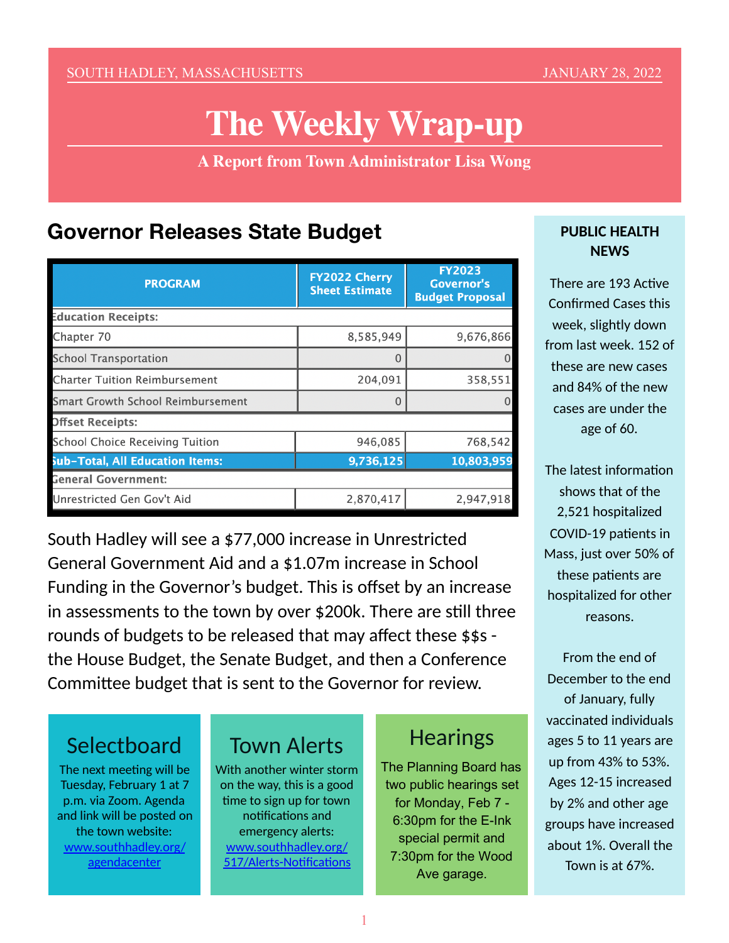#### SOUTH HADLEY, MASSACHUSETTS **SUITE AND ARRIVE AT A 1999 STANUARY 28, 2022**

# **The Weekly Wrap-up**

**A Report from Town Administrator Lisa Wong**

#### **Governor Releases State Budget**

| <b>PROGRAM</b>                           | <b>FY2022 Cherry</b><br><b>Sheet Estimate</b> | <b>FY2023</b><br><b>Governor's</b><br><b>Budget Proposal</b> |
|------------------------------------------|-----------------------------------------------|--------------------------------------------------------------|
| <b>Education Receipts:</b>               |                                               |                                                              |
| Chapter 70                               | 8,585,949                                     | 9,676,866                                                    |
| <b>School Transportation</b>             | 0                                             | $\Omega$                                                     |
| <b>Charter Tuition Reimbursement</b>     | 204,091                                       | 358,551                                                      |
| <b>Smart Growth School Reimbursement</b> | O                                             |                                                              |
| <b>Offset Receipts:</b>                  |                                               |                                                              |
| <b>School Choice Receiving Tuition</b>   | 946,085                                       | 768,542                                                      |
| <b>Sub-Total, All Education Items:</b>   | 9,736,125                                     | 10,803,959                                                   |
| <b>General Government:</b>               |                                               |                                                              |
| Unrestricted Gen Gov't Aid               | 2,870,417                                     | 2,947,918                                                    |

South Hadley will see a \$77,000 increase in Unrestricted General Government Aid and a \$1.07m increase in School Funding in the Governor's budget. This is offset by an increase in assessments to the town by over \$200k. There are still three rounds of budgets to be released that may affect these \$\$s the House Budget, the Senate Budget, and then a Conference Committee budget that is sent to the Governor for review.

### **Selectboard**

The next meeting will be Tuesday, February 1 at 7 p.m. via Zoom. Agenda and link will be posted on the town website: [www.southhadley.org/](http://www.southhadley.org/agendacenter) [agendacenter](http://www.southhadley.org/agendacenter)

# Town Alerts

With another winter storm on the way, this is a good time to sign up for town notifications and emergency alerts: [www.southhadley.org/](https://www.southhadley.org/517/Alerts-Notifications) 517/Alerts-Notifications

#### **Hearings**

The Planning Board has two public hearings set for Monday, Feb 7 - 6:30pm for the E-Ink special permit and 7:30pm for the Wood Ave garage.

#### **PUBLIC HEALTH NEWS**

There are 193 Active Confirmed Cases this week, slightly down from last week. 152 of these are new cases and 84% of the new cases are under the age of 60.

The latest information shows that of the 2,521 hospitalized COVID-19 patients in Mass, just over 50% of these patients are hospitalized for other reasons.

From the end of December to the end of January, fully vaccinated individuals ages 5 to 11 years are up from 43% to 53%. Ages 12-15 increased by 2% and other age groups have increased about 1%. Overall the Town is at 67%.